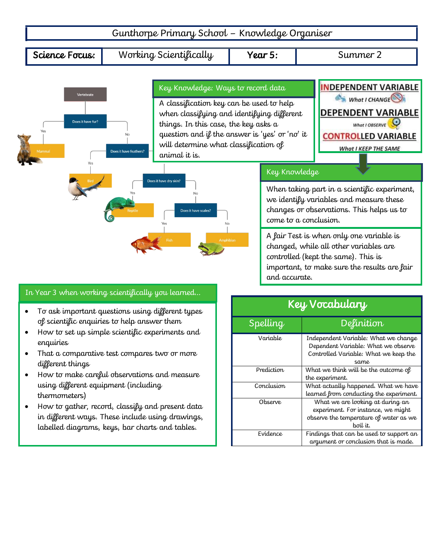

### In Year 3 when working scientifically you learned…

- To ask important questions using different types of scientific enquiries to help answer them
- How to set up simple scientific experiments and enquiries
- That a comparative test compares two or more different things
- How to make careful observations and measure using different equipment (including thermometers)
- How to gather, record, classify and present data in different ways. These include using drawings, labelled diagrams, keys, bar charts and tables.

# Key Vocabulary Spelling Definition Variable Independent Variable: What we change Dependent Variable: What we observe Controlled Variable: What we keep the same Prediction What we think will be the outcome of the experiment. Conclusion What actually happened. What we have learned from conducting the experiment. Observe What we are looking at during an experiment. For instance, we might observe the temperature of water as we boil it. Evidence  $\vert$  Findings that can be used to support an argument or conclusion that is made.

and accurate.